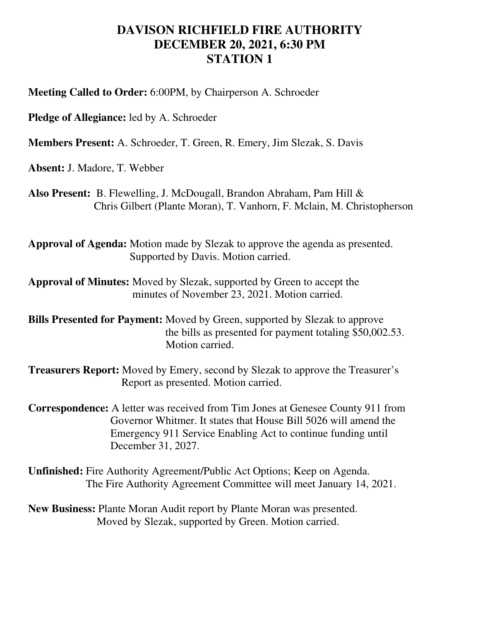## **DAVISON RICHFIELD FIRE AUTHORITY DECEMBER 20, 2021, 6:30 PM STATION 1**

**Meeting Called to Order:** 6:00PM, by Chairperson A. Schroeder

**Pledge of Allegiance:** led by A. Schroeder

**Members Present:** A. Schroeder, T. Green, R. Emery, Jim Slezak, S. Davis

**Absent:** J. Madore, T. Webber

**Also Present:** B. Flewelling, J. McDougall, Brandon Abraham, Pam Hill & Chris Gilbert (Plante Moran), T. Vanhorn, F. Mclain, M. Christopherson

**Approval of Agenda:** Motion made by Slezak to approve the agenda as presented. Supported by Davis. Motion carried.

**Approval of Minutes:** Moved by Slezak, supported by Green to accept the minutes of November 23, 2021. Motion carried.

**Bills Presented for Payment:** Moved by Green, supported by Slezak to approve the bills as presented for payment totaling \$50,002.53. Motion carried.

**Treasurers Report:** Moved by Emery, second by Slezak to approve the Treasurer's Report as presented. Motion carried.

**Correspondence:** A letter was received from Tim Jones at Genesee County 911 from Governor Whitmer. It states that House Bill 5026 will amend the Emergency 911 Service Enabling Act to continue funding until December 31, 2027.

**Unfinished:** Fire Authority Agreement/Public Act Options; Keep on Agenda. The Fire Authority Agreement Committee will meet January 14, 2021.

**New Business:** Plante Moran Audit report by Plante Moran was presented. Moved by Slezak, supported by Green. Motion carried.